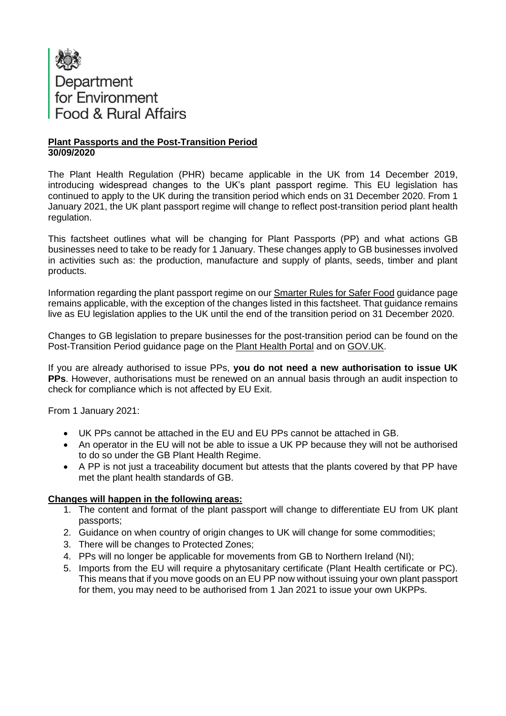

### **Plant Passports and the Post-Transition Period 30/09/2020**

The Plant Health Regulation (PHR) became applicable in the UK from 14 December 2019, introducing widespread changes to the UK's plant passport regime. This EU legislation has continued to apply to the UK during the transition period which ends on 31 December 2020. From 1 January 2021, the UK plant passport regime will change to reflect post-transition period plant health regulation.

This factsheet outlines what will be changing for Plant Passports (PP) and what actions GB businesses need to take to be ready for 1 January. These changes apply to GB businesses involved in activities such as: the production, manufacture and supply of plants, seeds, timber and plant products.

Information regarding the plant passport regime on our [Smarter Rules for Safer Food](https://planthealthportal.defra.gov.uk/smarter-rules-for-safer-food-srsf/) guidance page remains applicable, with the exception of the changes listed in this factsheet. That guidance remains live as EU legislation applies to the UK until the end of the transition period on 31 December 2020.

Changes to GB legislation to prepare businesses for the post-transition period can be found on the Post-Transition Period guidance page on the [Plant Health Portal](https://planthealthportal.defra.gov.uk/eu-exit-guidance/) and on [GOV.UK.](https://www.gov.uk/guidance/importing-and-exporting-plants-and-plant-products-from-1-january-2021)

If you are already authorised to issue PPs, **you do not need a new authorisation to issue UK PPs**. However, authorisations must be renewed on an annual basis through an audit inspection to check for compliance which is not affected by EU Exit.

From 1 January 2021:

- UK PPs cannot be attached in the EU and EU PPs cannot be attached in GB.
- An operator in the EU will not be able to issue a UK PP because they will not be authorised to do so under the GB Plant Health Regime.
- A PP is not just a traceability document but attests that the plants covered by that PP have met the plant health standards of GB.

#### **Changes will happen in the following areas:**

- 1. The content and format of the plant passport will change to differentiate EU from UK plant passports;
- 2. Guidance on when country of origin changes to UK will change for some commodities;
- 3. There will be changes to Protected Zones;
- 4. PPs will no longer be applicable for movements from GB to Northern Ireland (NI);
- 5. Imports from the EU will require a phytosanitary certificate (Plant Health certificate or PC). This means that if you move goods on an EU PP now without issuing your own plant passport for them, you may need to be authorised from 1 Jan 2021 to issue your own UKPPs.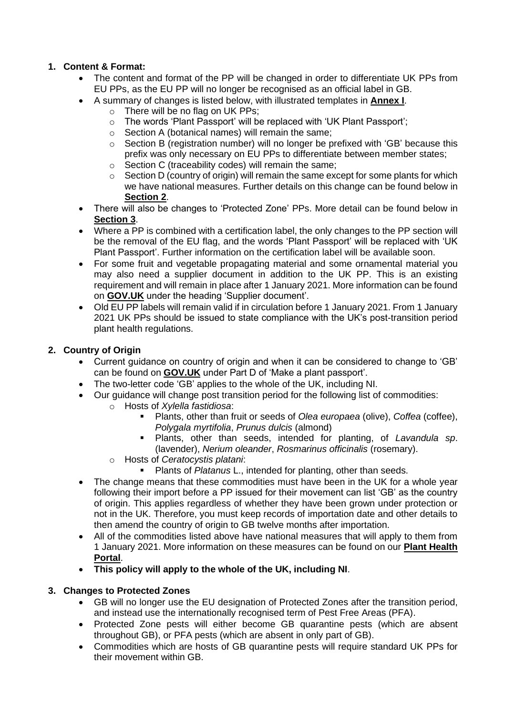### **1. Content & Format:**

- The content and format of the PP will be changed in order to differentiate UK PPs from EU PPs, as the EU PP will no longer be recognised as an official label in GB.
- A summary of changes is listed below, with illustrated templates in **[Annex I](#page-4-0)**.
	- o There will be no flag on UK PPs;
		- o The words 'Plant Passport' will be replaced with 'UK Plant Passport';
		- o Section A (botanical names) will remain the same;
		- $\circ$  Section B (registration number) will no longer be prefixed with 'GB' because this prefix was only necessary on EU PPs to differentiate between member states;
		- o Section C (traceability codes) will remain the same;
	- o Section D (country of origin) will remain the same except for some plants for which we have national measures. Further details on this change can be found below in **[Section 2](#page-1-0)**.
- There will also be changes to 'Protected Zone' PPs. More detail can be found below in **[Section 3](#page-1-1)**.
- Where a PP is combined with a certification label, the only changes to the PP section will be the removal of the EU flag, and the words 'Plant Passport' will be replaced with 'UK Plant Passport'. Further information on the certification label will be available soon.
- For some fruit and vegetable propagating material and some ornamental material you may also need a supplier document in addition to the UK PP. This is an existing requirement and will remain in place after 1 January 2021. More information can be found on **[GOV.UK](https://www.gov.uk/guidance/issuing-plant-passports-to-trade-plants-in-the-eu)** under the heading 'Supplier document'.
- Old EU PP labels will remain valid if in circulation before 1 January 2021. From 1 January 2021 UK PPs should be issued to state compliance with the UK's post-transition period plant health regulations.

#### <span id="page-1-0"></span>**2. Country of Origin**

- Current guidance on country of origin and when it can be considered to change to 'GB' can be found on **[GOV.UK](https://www.gov.uk/guidance/issuing-plant-passports-to-trade-plants-in-the-eu)** under Part D of 'Make a plant passport'.
- The two-letter code 'GB' applies to the whole of the UK, including NI.
- Our guidance will change post transition period for the following list of commodities:
	- o Hosts of *Xylella fastidiosa*:
		- Plants, other than fruit or seeds of *Olea europaea* (olive), *Coffea* (coffee), *Polygala myrtifolia*, *Prunus dulcis* (almond)
		- Plants, other than seeds, intended for planting, of *Lavandula sp.* (lavender), *Nerium oleander*, *Rosmarinus officinalis* (rosemary).
		- o Hosts of *Ceratocystis platani*:
			- **Plants of Platanus L., intended for planting, other than seeds.**
- The change means that these commodities must have been in the UK for a whole year following their import before a PP issued for their movement can list 'GB' as the country of origin. This applies regardless of whether they have been grown under protection or not in the UK. Therefore, you must keep records of importation date and other details to then amend the country of origin to GB twelve months after importation.
- All of the commodities listed above have national measures that will apply to them from 1 January 2021. More information on these measures can be found on our **[Plant Health](https://planthealthportal.defra.gov.uk/latest-news/new-national-measures-april-2020-and-xylella-consultation-response/)  [Portal](https://planthealthportal.defra.gov.uk/latest-news/new-national-measures-april-2020-and-xylella-consultation-response/)**.
- **This policy will apply to the whole of the UK, including NI**.

#### <span id="page-1-1"></span>**3. Changes to Protected Zones**

- GB will no longer use the EU designation of Protected Zones after the transition period, and instead use the internationally recognised term of Pest Free Areas (PFA).
- Protected Zone pests will either become GB quarantine pests (which are absent throughout GB), or PFA pests (which are absent in only part of GB).
- Commodities which are hosts of GB quarantine pests will require standard UK PPs for their movement within GB.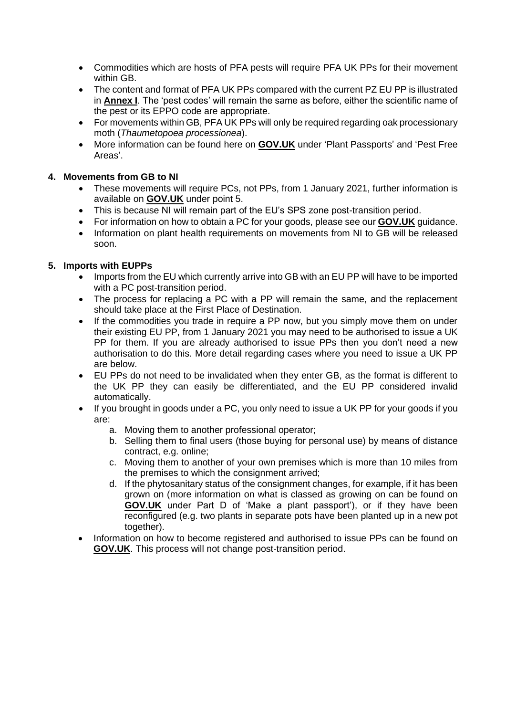- Commodities which are hosts of PFA pests will require PFA UK PPs for their movement within GB.
- The content and format of PFA UK PPs compared with the current PZ EU PP is illustrated in **[Annex I](#page-4-0)**. The 'pest codes' will remain the same as before, either the scientific name of the pest or its EPPO code are appropriate.
- For movements within GB, PFA UK PPs will only be required regarding oak processionary moth (*Thaumetopoea processionea*).
- More information can be found here on **[GOV.UK](https://www.gov.uk/guidance/importing-and-exporting-plants-and-plant-products-from-1-january-2021#plant-passports-and-pest-free-areas)** under 'Plant Passports' and 'Pest Free Areas'.

### **4. Movements from GB to NI**

- These movements will require PCs, not PPs, from 1 January 2021, further information is available on **[GOV.UK](https://www.gov.uk/government/publications/moving-goods-under-the-northern-ireland-protocol/moving-goods-under-the-northern-ireland-protocol-section-two-moving-goods-from-great-britain-to-northern-ireland#great-britain-to-northern-ireland-sanitary-and-phytosanitary-sps-goods)** under point 5.
- This is because NI will remain part of the EU's SPS zone post-transition period.
- For information on how to obtain a PC for your goods, please see our **[GOV.UK](https://www.gov.uk/guidance/importing-and-exporting-plants-and-plant-products-from-1-january-2021#exporting-plants-and-plant-products-from-england-scotland-or-wales-to-the-eu)** guidance.
- Information on plant health requirements on movements from NI to GB will be released soon.

### **5. Imports with EUPPs**

- Imports from the EU which currently arrive into GB with an EU PP will have to be imported with a PC post-transition period.
- The process for replacing a PC with a PP will remain the same, and the replacement should take place at the First Place of Destination.
- If the commodities you trade in require a PP now, but you simply move them on under their existing EU PP, from 1 January 2021 you may need to be authorised to issue a UK PP for them. If you are already authorised to issue PPs then you don't need a new authorisation to do this. More detail regarding cases where you need to issue a UK PP are below.
- EU PPs do not need to be invalidated when they enter GB, as the format is different to the UK PP they can easily be differentiated, and the EU PP considered invalid automatically.
- If you brought in goods under a PC, you only need to issue a UK PP for your goods if you are:
	- a. Moving them to another professional operator;
	- b. Selling them to final users (those buying for personal use) by means of distance contract, e.g. online;
	- c. Moving them to another of your own premises which is more than 10 miles from the premises to which the consignment arrived;
	- d. If the phytosanitary status of the consignment changes, for example, if it has been grown on (more information on what is classed as growing on can be found on **[GOV.UK](https://www.gov.uk/guidance/issuing-plant-passports-to-trade-plants-in-the-eu)** under Part D of 'Make a plant passport'), or if they have been reconfigured (e.g. two plants in separate pots have been planted up in a new pot together).
- Information on how to become registered and authorised to issue PPs can be found on **[GOV.UK](https://www.gov.uk/guidance/issuing-plant-passports-to-trade-plants-in-the-eu)**. This process will not change post-transition period.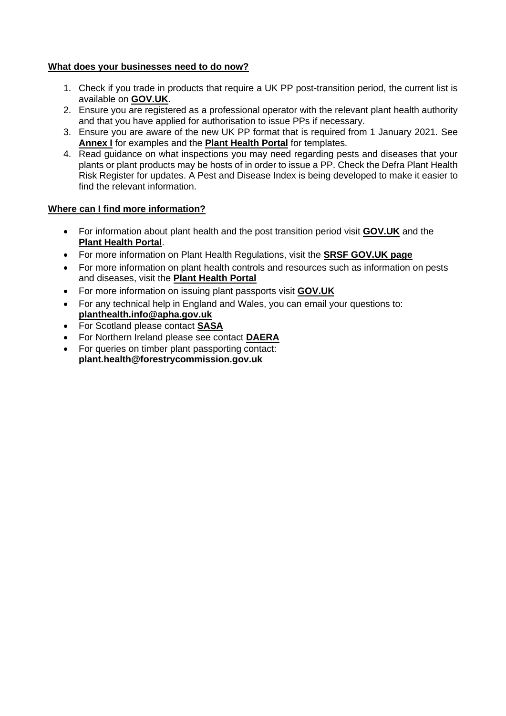#### **What does your businesses need to do now?**

- 1. Check if you trade in products that require a UK PP post-transition period, the current list is available on **[GOV.UK](https://www.gov.uk/guidance/issuing-plant-passports-to-trade-plants-in-the-eu#when-you-need-a-plant-passport)**.
- 2. Ensure you are registered as a professional operator with the relevant plant health authority and that you have applied for authorisation to issue PPs if necessary.
- 3. Ensure you are aware of the new UK PP format that is required from 1 January 2021. See **[Annex I](#page-4-0)** for examples and the **[Plant Health Portal](https://planthealthportal.defra.gov.uk/eu-exit-guidance/)** for templates.
- 4. Read guidance on what inspections you may need regarding pests and diseases that your plants or plant products may be hosts of in order to issue a PP. Check the Defra Plant Health Risk Register for updates. A Pest and Disease Index is being developed to make it easier to find the relevant information.

#### **Where can I find more information?**

- For information about plant health and the post transition period visit **[GOV.UK](https://www.gov.uk/guidance/importing-and-exporting-plants-and-plant-products-from-1-january-2021)** and the **[Plant Health Portal](https://planthealthportal.defra.gov.uk/eu-exit-guidance/)**.
- For more information on Plant Health Regulations, visit the **[SRSF GOV.UK page](https://www.gov.uk/government/publications/smarter-rules-for-safer-food-what-we-are-doing/smarter-rules-for-safer-food)**
- For more information on plant health controls and resources such as information on pests and diseases, visit the **[Plant Health Portal](https://planthealthportal.defra.gov.uk/)**
- For more information on issuing plant passports visit **[GOV.UK](https://www.gov.uk/guidance/issuing-plant-passports-to-trade-plants-in-the-eu)**
- For any technical help in England and Wales, you can email your questions to: **[planthealth.info@apha.gov.uk](mailto:planthealth.info@apha.gov.uk)**
- For Scotland please contact **[SASA](https://www.sasa.gov.uk/plant-health)**
- For Northern Ireland please see contact **[DAERA](https://www.daera-ni.gov.uk/topics/plant-and-tree-health)**
- For queries on timber plant passporting contact: **plant.health@forestrycommission.gov.uk**